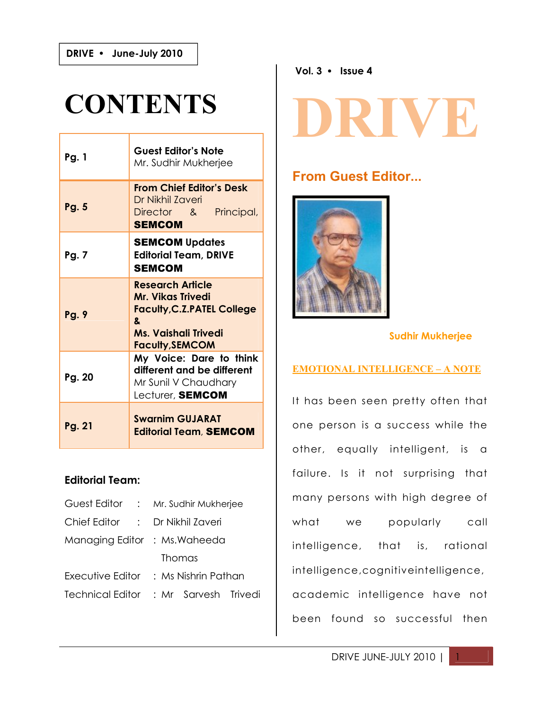**DRIVE June-July 2010**

**2009**

# **CONTENTS**

| <b>Pg. 1</b> | <b>Guest Editor's Note</b><br>Mr. Sudhir Mukherjee                                                                                       |  |  |  |
|--------------|------------------------------------------------------------------------------------------------------------------------------------------|--|--|--|
| Pg. 5        | <b>From Chief Editor's Desk</b><br>Dr Nikhil Zaveri<br>Director & Principal,<br><b>SEMCOM</b>                                            |  |  |  |
| Pg. 7        | <b>SEMCOM Updates</b><br><b>Editorial Team, DRIVE</b><br>SEMCOM                                                                          |  |  |  |
| Pg. 9        | <b>Research Article</b><br>Mr. Vikas Trivedi<br><b>Faculty, C.Z.PATEL College</b><br>&<br>Ms. Vaishali Trivedi<br><b>Faculty, SEMCOM</b> |  |  |  |
| Pg. 20       | My Voice: Dare to think<br>different and be different<br>Mr Sunil V Chaudhary<br>Lecturer, SEMCOM                                        |  |  |  |
| Pg. 21       | <b>Swarnim GUJARAT</b><br><b>Editorial Team, SEMCOM</b>                                                                                  |  |  |  |

#### **Editorial Team:**

| Guest Editor : Mr. Sudhir Mukherjee   |  |  |        |  |  |  |
|---------------------------------------|--|--|--------|--|--|--|
| Chief Editor : Dr Nikhil Zaveri       |  |  |        |  |  |  |
| Managing Editor : Ms. Waheeda         |  |  |        |  |  |  |
|                                       |  |  | Thomas |  |  |  |
| Executive Editor : Ms Nishrin Pathan  |  |  |        |  |  |  |
| Technical Editor : Mr Sarvesh Trivedi |  |  |        |  |  |  |

**Vol. 3 Issue 4**

# **DRIVE**

# **From Guest Editor...**



#### **Sudhir Mukherjee**

#### **EMOTIONAL INTELLIGENCE – A NOTE**

It has been seen pretty often that one person is a success while the other, equally intelligent, is a failure. Is it not surprising that many persons with high degree of what we popularly call intelligence, that is, rational intelligence,cognitiveintelligence, academic intelligence have not been found so successful then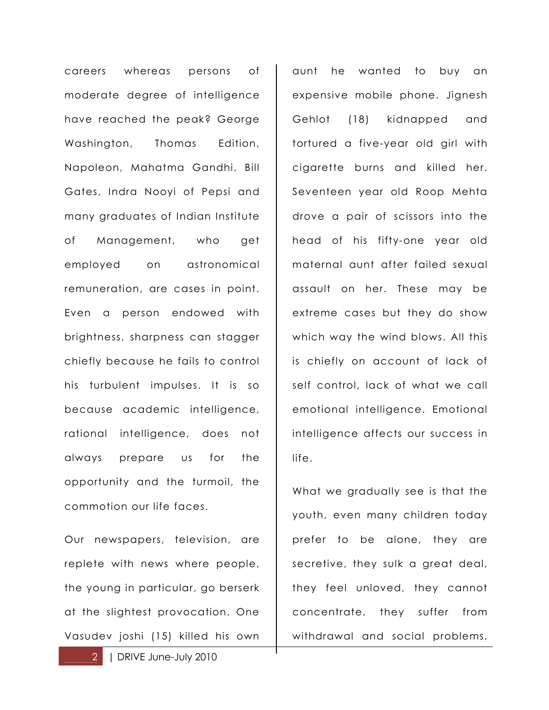careers whereas persons of moderate degree of intelligence have reached the peak? George Washington, Thomas Edition, Napoleon, Mahatma Gandhi, Bill Gates, Indra Nooyi of Pepsi and many graduates of Indian Institute of Management, who get employed on astronomical remuneration, are cases in point. Even a person endowed with brightness, sharpness can stagger chiefly because he fails to control his turbulent impulses. It is so because academic intelligence, rational intelligence, does not always prepare us for the opportunity and the turmoil, the commotion our life faces.

Our newspapers, television, are replete with news where people, the young in particular, go berserk at the slightest provocation. One Vasudev joshi (15) killed his own

aunt he wanted to buy an expensive mobile phone. Jignesh Gehlot (18) kidnapped and tortured a five-year old girl with cigarette burns and killed her. Seventeen year old Roop Mehta drove a pair of scissors into the head of his fifty-one year old maternal aunt after failed sexual assault on her. These may be extreme cases but they do show which way the wind blows. All this is chiefly on account of lack of self control, lack of what we call emotional intelligence. Emotional intelligence affects our success in life.

What we gradually see is that the youth, even many children today prefer to be alone, they are secretive, they sulk a great deal, they feel unloved, they cannot concentrate, they suffer from withdrawal and social problems,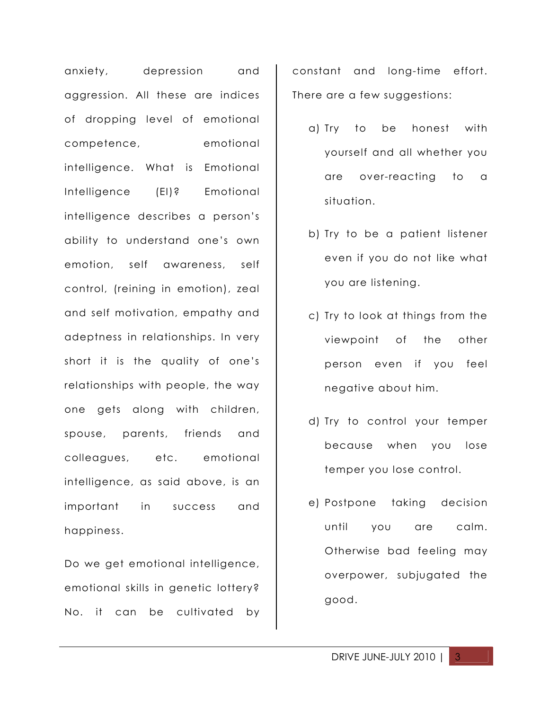anxiety, depression and aggression. All these are indices of dropping level of emotional competence, emotional intelligence. What is Emotional Intelligence (EI)? Emotional intelligence describes a person's ability to understand one's own emotion, self awareness, self control, (reining in emotion), zeal and self motivation, empathy and adeptness in relationships. In very short it is the quality of one's relationships with people, the way one gets along with children, spouse, parents, friends and colleagues, etc. emotional intelligence, as said above, is an important in success and happiness.

Do we get emotional intelligence, emotional skills in genetic lottery? No. it can be cultivated by constant and long-time effort. There are a few suggestions:

- a) Try to be honest with yourself and all whether you are over-reacting to a situation.
- b) Try to be a patient listener even if you do not like what you are listening.
- c) Try to look at things from the viewpoint of the other person even if you feel negative about him.
- d) Try to control your temper because when you lose temper you lose control.
- e) Postpone taking decision until you are calm. Otherwise bad feeling may overpower, subjugated the good.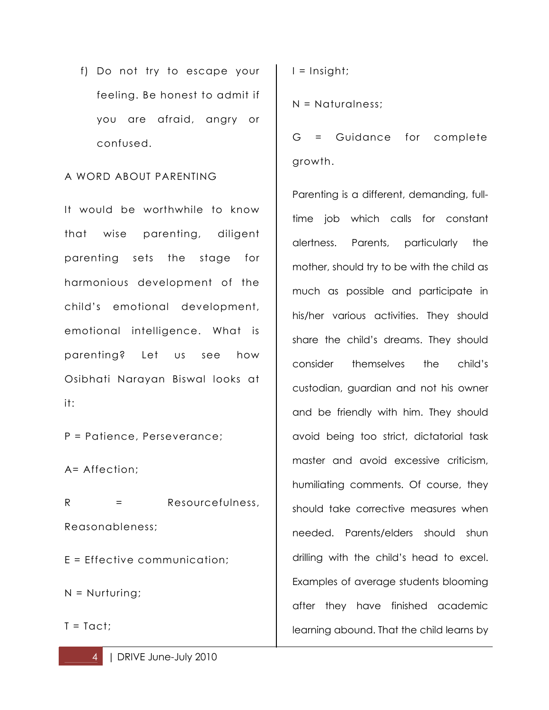f) Do not try to escape your feeling. Be honest to admit if you are afraid, angry or confused.

#### A WORD ABOUT PARENTING

It would be worthwhile to know that wise parenting, diligent parenting sets the stage for harmonious development of the child's emotional development, emotional intelligence. What is parenting? Let us see how Osibhati Narayan Biswal looks at it:

P = Patience, Perseverance;

A= Affection;

R = Resourcefulness, Reasonableness;

E = Effective communication;

N = Nurturing;

 $T = Tact$ 

 $I =$  Insight;

N = Naturalness;

G = Guidance for complete growth.

Parenting is a different, demanding, fulltime job which calls for constant alertness. Parents, particularly the mother, should try to be with the child as much as possible and participate in his/her various activities. They should share the child's dreams. They should consider themselves the child's custodian, guardian and not his owner and be friendly with him. They should avoid being too strict, dictatorial task master and avoid excessive criticism, humiliating comments. Of course, they should take corrective measures when needed. Parents/elders should shun drilling with the child's head to excel. Examples of average students blooming after they have finished academic learning abound. That the child learns by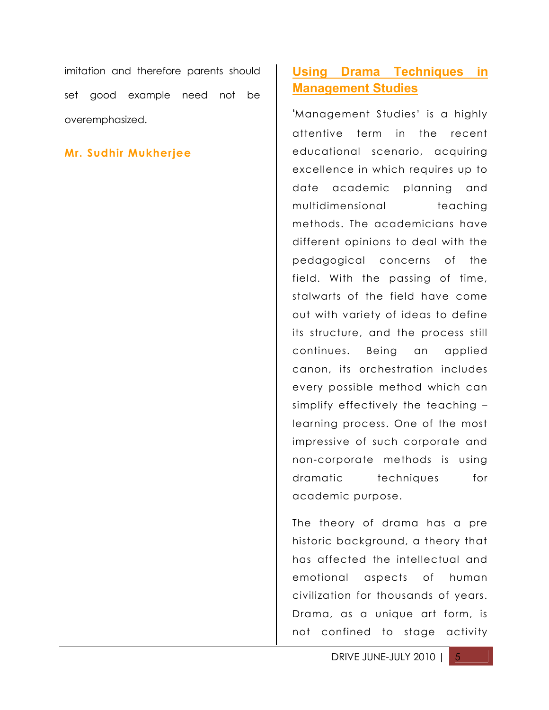imitation and therefore parents should set good example need not be overemphasized.

#### **Mr. Sudhir Mukherjee**

### **Using Drama Techniques in Management Studies**

'Management Studies' is a highly attentive term in the recent educational scenario, acquiring excellence in which requires up to date academic planning and multidimensional teaching methods. The academicians have different opinions to deal with the pedagogical concerns of the field. With the passing of time, stalwarts of the field have come out with variety of ideas to define its structure, and the process still continues. Being an applied canon, its orchestration includes every possible method which can simplify effectively the teaching – learning process. One of the most impressive of such corporate and non-corporate methods is using dramatic techniques for academic purpose.

The theory of drama has a pre historic background, a theory that has affected the intellectual and emotional aspects of human civilization for thousands of years. Drama, as a unique art form, is not confined to stage activity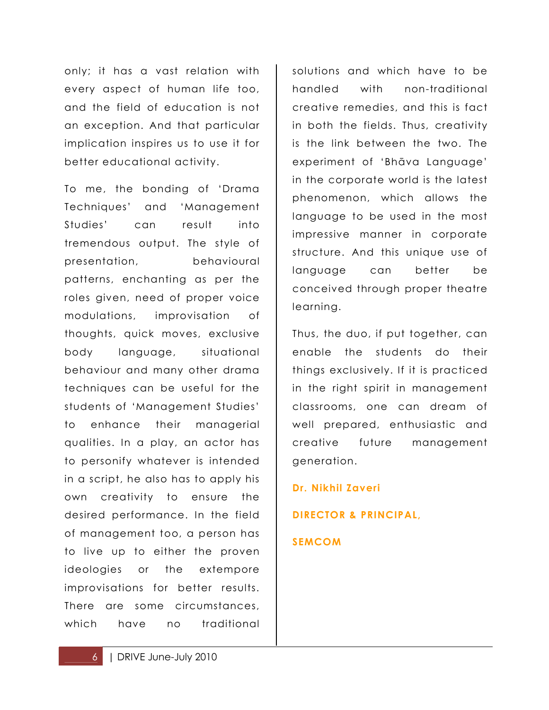only; it has a vast relation with every aspect of human life too, and the field of education is not an exception. And that particular implication inspires us to use it for better educational activity.

To me, the bonding of 'Drama Techniques' and 'Management Studies' can result into tremendous output. The style of presentation, behavioural patterns, enchanting as per the roles given, need of proper voice modulations, improvisation of thoughts, quick moves, exclusive body language, situational behaviour and many other drama techniques can be useful for the students of 'Management Studies' to enhance their managerial qualities. In a play, an actor has to personify whatever is intended in a script, he also has to apply his own creativity to ensure the desired performance. In the field of management too, a person has to live up to either the proven ideologies or the extempore improvisations for better results. There are some circumstances, which have no traditional

solutions and which have to be handled with non-traditional creative remedies, and this is fact in both the fields. Thus, creativity is the link between the two. The experiment of 'Bhāva Language' in the corporate world is the latest phenomenon, which allows the language to be used in the most impressive manner in corporate structure. And this unique use of language can better be conceived through proper theatre learning.

Thus, the duo, if put together, can enable the students do their things exclusively. If it is practiced in the right spirit in management classrooms, one can dream of well prepared, enthusiastic and creative future management generation.

**Dr. Nikhil Zaveri**

**DIRECTOR & PRINCIPAL,**

#### **SEMCOM**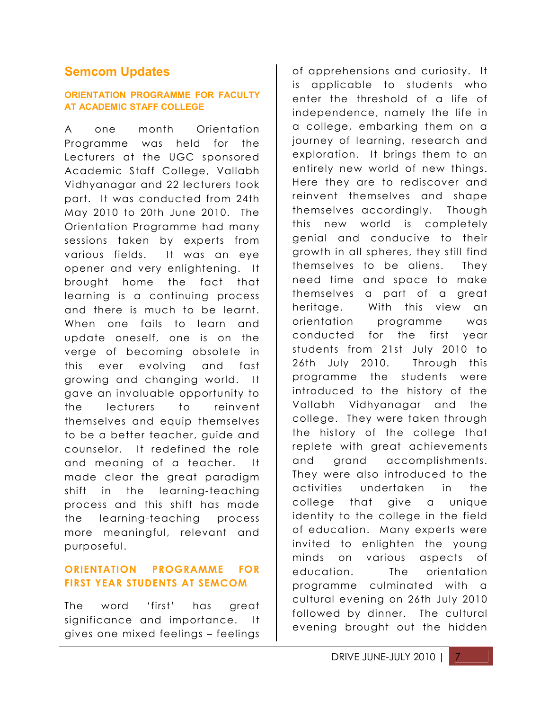#### **Semcom Updates**

#### **ORIENTATION PROGRAMME FOR FACULTY AT ACADEMIC STAFF COLLEGE**

A one month Orientation Programme was held for the Lecturers at the UGC sponsored Academic Staff College, Vallabh Vidhyanagar and 22 lecturers took part. It was conducted from 24th May 2010 to 20th June 2010. The Orientation Programme had many sessions taken by experts from various fields. It was an eye opener and very enlightening. It brought home the fact that learning is a continuing process and there is much to be learnt. When one fails to learn and update oneself, one is on the verge of becoming obsolete in this ever evolving and fast growing and changing world. It gave an invaluable opportunity to the lecturers to reinvent themselves and equip themselves to be a better teacher, guide and counselor. It redefined the role and meaning of a teacher. It made clear the great paradigm shift in the learning-teaching process and this shift has made the learning-teaching process more meaningful, relevant and purposeful.

#### **ORIENTATION PROGRAMME FOR FIRST YEAR STUDENTS AT SEMCOM**

The word 'first' has great significance and importance. It gives one mixed feelings – feelings

of apprehensions and curiosity. It is applicable to students who enter the threshold of a life of independence, namely the life in a college, embarking them on a journey of learning, research and exploration. It brings them to an entirely new world of new things. Here they are to rediscover and reinvent themselves and shape themselves accordingly. Though this new world is completely genial and conducive to their growth in all spheres, they still find themselves to be aliens. They need time and space to make themselves a part of a great heritage. With this view an orientation programme was conducted for the first year students from 21st July 2010 to 26th July 2010. Through this programme the students were introduced to the history of the Vallabh Vidhyanagar and the college. They were taken through the history of the college that replete with great achievements and grand accomplishments. They were also introduced to the activities undertaken in the college that give a unique identity to the college in the field of education. Many experts were invited to enlighten the young minds on various aspects of education. The orientation programme culminated with a cultural evening on 26th July 2010 followed by dinner. The cultural evening brought out the hidden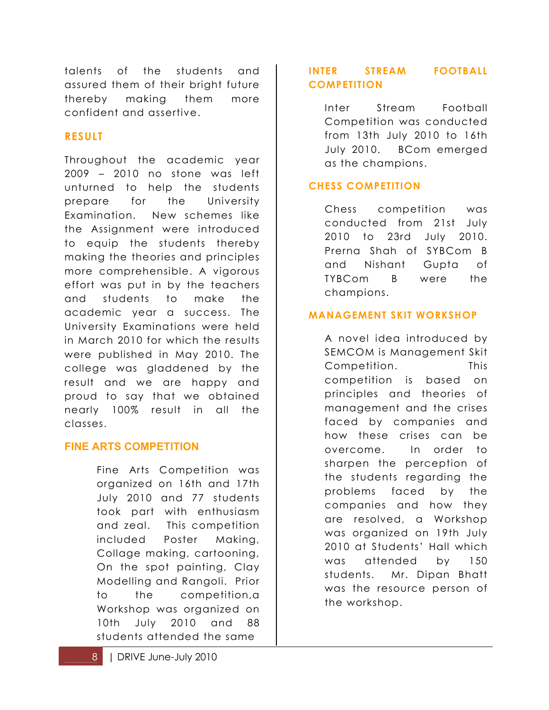talents of the students and assured them of their bright future thereby making them more confident and assertive.

#### **RESULT**

Throughout the academic year 2009 – 2010 no stone was left unturned to help the students prepare for the University Examination. New schemes like the Assignment were introduced to equip the students thereby making the theories and principles more comprehensible. A vigorous effort was put in by the teachers and students to make the academic year a success. The University Examinations were held in March 2010 for which the results were published in May 2010. The college was gladdened by the result and we are happy and proud to say that we obtained nearly 100% result in all the classes.

#### **FINE ARTS COMPETITION**

Fine Arts Competition was organized on 16th and 17th July 2010 and 77 students took part with enthusiasm and zeal. This competition included Poster Making, Collage making, cartooning, On the spot painting, Clay Modelling and Rangoli. Prior to the competition,a Workshop was organized on 10th July 2010 and 88 students attended the same

#### **INTER STREAM FOOTBALL COMPETITION**

Inter Stream Football Competition was conducted from 13th July 2010 to 16th July 2010. BCom emerged as the champions.

#### **CHESS COMPETITION**

Chess competition was conducted from 21st July 2010 to 23rd July 2010. Prerna Shah of SYBCom B and Nishant Gupta of TYBCom B were the champions.

#### **MANAGEMENT SKIT WORKSHOP**

A novel idea introduced by SEMCOM is Management Skit Competition. This competition is based on principles and theories of management and the crises faced by companies and how these crises can be overcome. In order to sharpen the perception of the students regarding the problems faced by the companies and how they are resolved, a Workshop was organized on 19th July 2010 at Students' Hall which was attended by 150 students. Mr. Dipan Bhatt was the resource person of the workshop.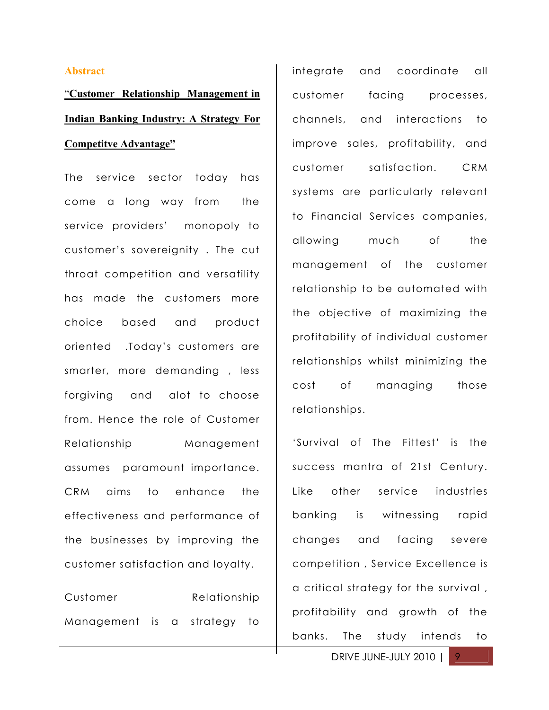#### **Abstract**

"**Customer Relationship Management in Indian Banking Industry: A Strategy For Competitve Advantage"**

The service sector today has come a long way from the service providers' monopoly to customer's sovereignity . The cut throat competition and versatility has made the customers more choice based and product oriented .Today's customers are smarter, more demanding , less forgiving and alot to choose from. Hence the role of Customer Relationship Management assumes paramount importance. CRM aims to enhance the effectiveness and performance of the businesses by improving the customer satisfaction and loyalty.

| Customer                    | Relationship |  |  |  |
|-----------------------------|--------------|--|--|--|
| Management is a strategy to |              |  |  |  |

integrate and coordinate all customer facing processes, channels, and interactions to improve sales, profitability, and customer satisfaction. CRM systems are particularly relevant to Financial Services companies, allowing much of the management of the customer relationship to be automated with the objective of maximizing the profitability of individual customer relationships whilst minimizing the cost of managing those relationships.

'Survival of The Fittest' is the success mantra of 21st Century. Like other service industries banking is witnessing rapid changes and facing severe competition , Service Excellence is a critical strategy for the survival , profitability and growth of the banks. The study intends to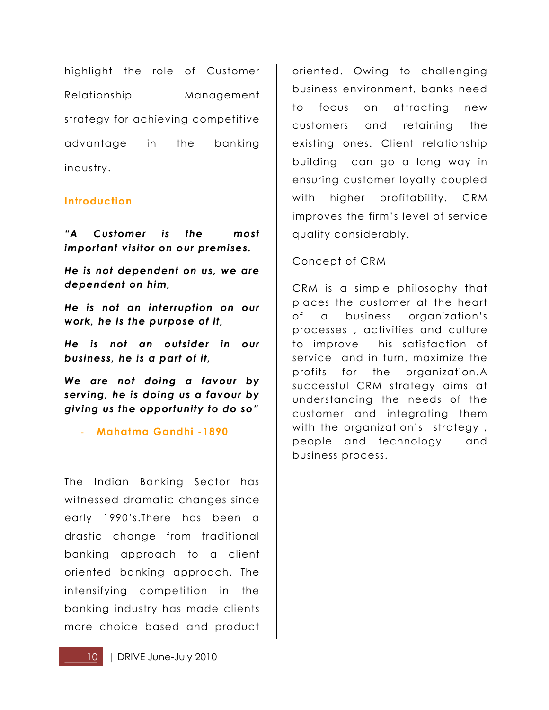highlight the role of Customer Relationship Management strategy for achieving competitive advantage in the banking industry.

#### **Introduction**

*"A Customer is the most important visitor on our premises.*

*He is not dependent on us, we are dependent on him,*

*He is not an interruption on our work, he is the purpose of it,*

*He is not an outsider in our business, he is a part of it,*

*We are not doing a favour by serving, he is doing us a favour by giving us the opportunity to do so"*

- **Mahatma Gandhi -1890**

The Indian Banking Sector has witnessed dramatic changes since early 1990's.There has been a drastic change from traditional banking approach to a client oriented banking approach. The intensifying competition in the banking industry has made clients more choice based and product oriented. Owing to challenging business environment, banks need to focus on attracting new customers and retaining the existing ones. Client relationship building can go a long way in ensuring customer loyalty coupled with higher profitability. CRM improves the firm's level of service quality considerably.

Concept of CRM

CRM is a simple philosophy that places the customer at the heart of a business organization's processes , activities and culture to improve his satisfaction of service and in turn, maximize the profits for the organization.A successful CRM strategy aims at understanding the needs of the customer and integrating them with the organization's strategy, people and technology and business process.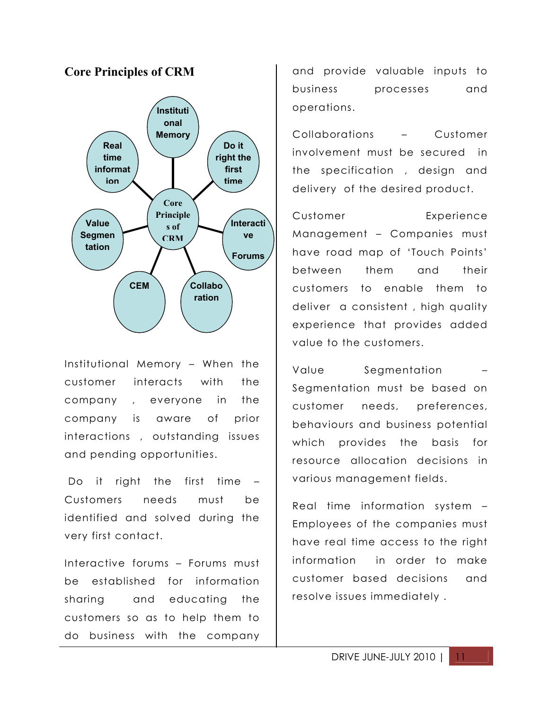

Institutional Memory – When the customer interacts with the company , everyone in the company is aware of prior interactions , outstanding issues and pending opportunities.

 Do it right the first time – Customers needs must be identified and solved during the very first contact.

Interactive forums – Forums must be established for information sharing and educating the customers so as to help them to do business with the company and provide valuable inputs to business processes and operations.

Collaborations – Customer involvement must be secured in the specification , design and delivery of the desired product.

Customer Experience Management – Companies must have road map of 'Touch Points' between them and their customers to enable them to deliver a consistent , high quality experience that provides added value to the customers.

Value Segmentation – Segmentation must be based on customer needs, preferences, behaviours and business potential which provides the basis for resource allocation decisions in various management fields.

Real time information system – Employees of the companies must have real time access to the right information in order to make customer based decisions and resolve issues immediately .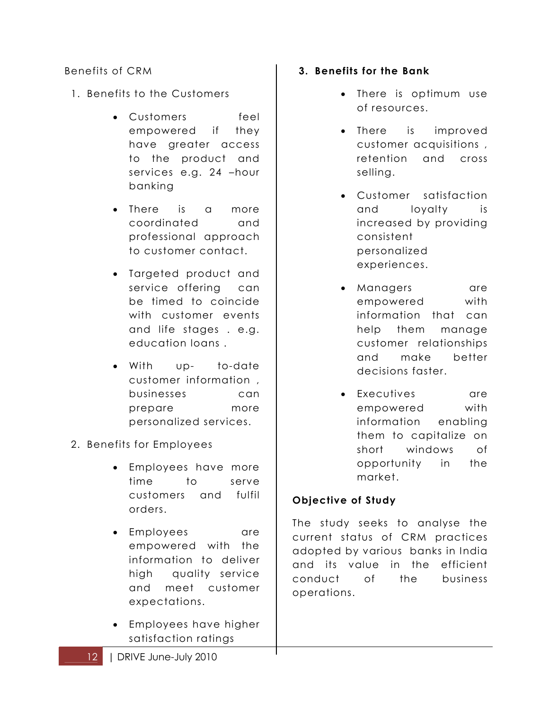#### Benefits of CRM

- 1. Benefits to the Customers
	- Customers feel empowered if they have greater access to the product and services e.g. 24 –hour banking
	- There is a more coordinated and professional approach to customer contact.
	- Targeted product and service offering can be timed to coincide with customer events and life stages . e.g. education loans .
	- With up- to-date customer information , businesses can prepare more personalized services.
- 2. Benefits for Employees
	- Employees have more time to serve customers and fulfil orders.
	- Employees are empowered with the information to deliver high quality service and meet customer expectations.
	- Employees have higher satisfaction ratings
- **3. Benefits for the Bank**
	- There is optimum use of resources.
	- There is improved customer acquisitions , retention and cross selling.
	- Customer satisfaction and loyalty is increased by providing consistent personalized experiences.
	- Managers are empowered with information that can help them manage customer relationships and make better decisions faster.
	- Executives are empowered with information enabling them to capitalize on short windows of opportunity in the market.

#### **Objective of Study**

The study seeks to analyse the current status of CRM practices adopted by various banks in India and its value in the efficient conduct of the business operations.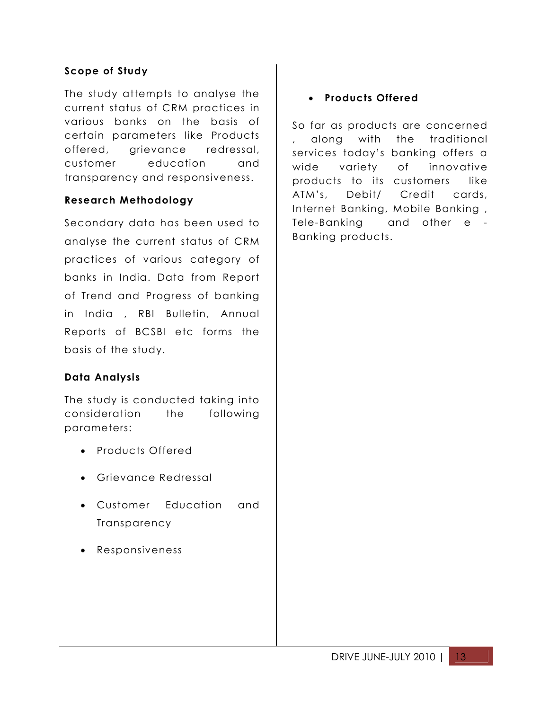#### **Scope of Study**

The study attempts to analyse the current status of CRM practices in various banks on the basis of certain parameters like Products offered, grievance redressal, customer education and transparency and responsiveness.

#### **Research Methodology**

Secondary data has been used to analyse the current status of CRM practices of various category of banks in India. Data from Report of Trend and Progress of banking in India , RBI Bulletin, Annual Reports of BCSBI etc forms the basis of the study.

#### **Data Analysis**

The study is conducted taking into consideration the following parameters:

- Products Offered
- Grievance Redressal
- Customer Education and **Transparency**
- Responsiveness

#### **Products Offered**

So far as products are concerned , along with the traditional services today's banking offers a wide variety of innovative products to its customers like ATM's, Debit/ Credit cards, Internet Banking, Mobile Banking , Tele-Banking and other e - Banking products.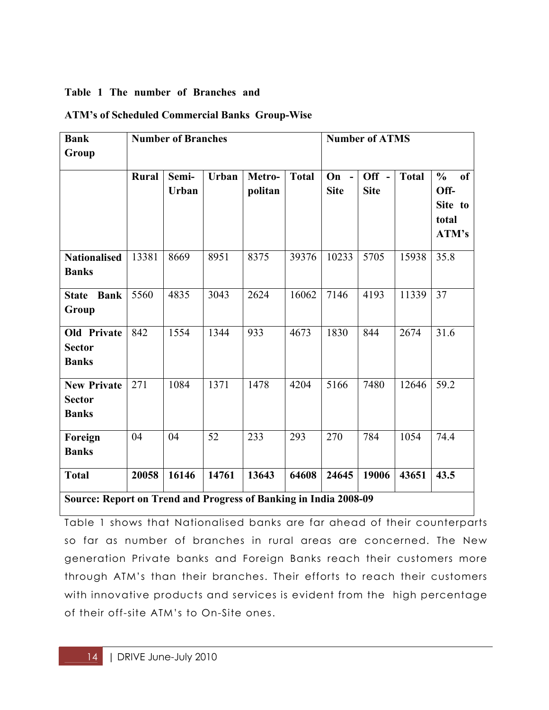#### **Table 1 The number of Branches and**

| <b>ATM's of Scheduled Commercial Banks Group-Wise</b> |
|-------------------------------------------------------|
|-------------------------------------------------------|

| <b>Bank</b><br>Group                                             | <b>Number of Branches</b> |                       |              |                   | <b>Number of ATMS</b> |                       |                        |              |                                                                     |
|------------------------------------------------------------------|---------------------------|-----------------------|--------------|-------------------|-----------------------|-----------------------|------------------------|--------------|---------------------------------------------------------------------|
|                                                                  | <b>Rural</b>              | Semi-<br><b>Urban</b> | <b>Urban</b> | Metro-<br>politan | <b>Total</b>          | $On -$<br><b>Site</b> | $Off -$<br><b>Site</b> | <b>Total</b> | $\frac{6}{6}$<br><sub>of</sub><br>Off-<br>Site to<br>total<br>ATM's |
| <b>Nationalised</b><br><b>Banks</b>                              | 13381                     | 8669                  | 8951         | 8375              | 39376                 | 10233                 | 5705                   | 15938        | 35.8                                                                |
| <b>Bank</b><br><b>State</b><br>Group                             | 5560                      | 4835                  | 3043         | 2624              | 16062                 | 7146                  | 4193                   | 11339        | 37                                                                  |
| <b>Old Private</b><br><b>Sector</b><br><b>Banks</b>              | 842                       | 1554                  | 1344         | 933               | 4673                  | 1830                  | 844                    | 2674         | 31.6                                                                |
| <b>New Private</b><br><b>Sector</b><br><b>Banks</b>              | 271                       | 1084                  | 1371         | 1478              | 4204                  | 5166                  | 7480                   | 12646        | 59.2                                                                |
| Foreign<br><b>Banks</b>                                          | 04                        | 04                    | 52           | 233               | 293                   | 270                   | 784                    | 1054         | 74.4                                                                |
| <b>Total</b>                                                     | 20058                     | 16146                 | 14761        | 13643             | 64608                 | 24645                 | 19006                  | 43651        | 43.5                                                                |
| Source: Report on Trend and Progress of Banking in India 2008-09 |                           |                       |              |                   |                       |                       |                        |              |                                                                     |

Table 1 shows that Nationalised banks are far ahead of their counterparts so far as number of branches in rural areas are concerned. The New generation Private banks and Foreign Banks reach their customers more through ATM's than their branches. Their efforts to reach their customers with innovative products and services is evident from the high percentage of their off-site ATM's to On-Site ones.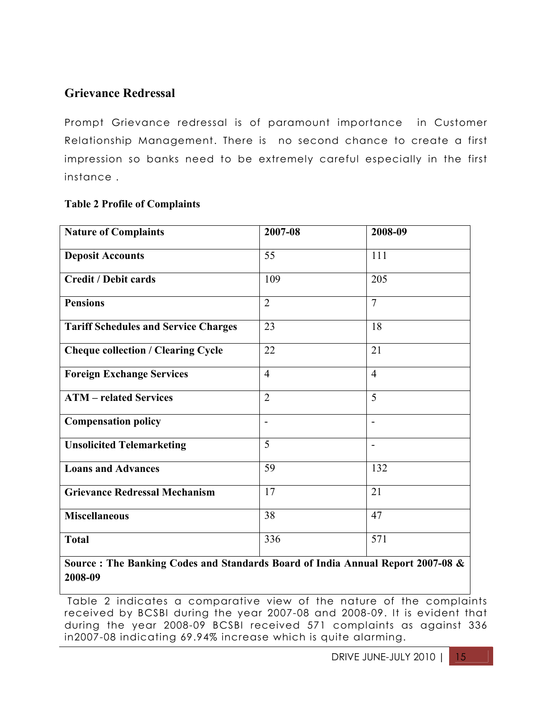#### **Grievance Redressal**

Prompt Grievance redressal is of paramount importance in Customer Relationship Management. There is no second chance to create a first impression so banks need to be extremely careful especially in the first instance .

#### **Table 2 Profile of Complaints**

| <b>Nature of Complaints</b>                 | 2007-08        | 2008-09        |
|---------------------------------------------|----------------|----------------|
| <b>Deposit Accounts</b>                     | 55             | 111            |
| <b>Credit / Debit cards</b>                 | 109            | 205            |
| <b>Pensions</b>                             | $\overline{2}$ | $\overline{7}$ |
| <b>Tariff Schedules and Service Charges</b> | 23             | 18             |
| <b>Cheque collection / Clearing Cycle</b>   | 22             | 21             |
| <b>Foreign Exchange Services</b>            | $\overline{4}$ | $\overline{4}$ |
| <b>ATM</b> – related Services               | $\overline{2}$ | 5              |
| <b>Compensation policy</b>                  | $\blacksquare$ | $\blacksquare$ |
| <b>Unsolicited Telemarketing</b>            | 5              | $\blacksquare$ |
| <b>Loans and Advances</b>                   | 59             | 132            |
| <b>Grievance Redressal Mechanism</b>        | 17             | 21             |
| <b>Miscellaneous</b>                        | 38             | 47             |
| <b>Total</b>                                | 336            | 571            |

**Source : The Banking Codes and Standards Board of India Annual Report 2007-08 & 2008-09**

Table 2 indicates a comparative view of the nature of the complaints received by BCSBI during the year 2007-08 and 2008-09. It is evident that during the year 2008-09 BCSBI received 571 complaints as against 336 in2007-08 indicating 69.94% increase which is quite alarming.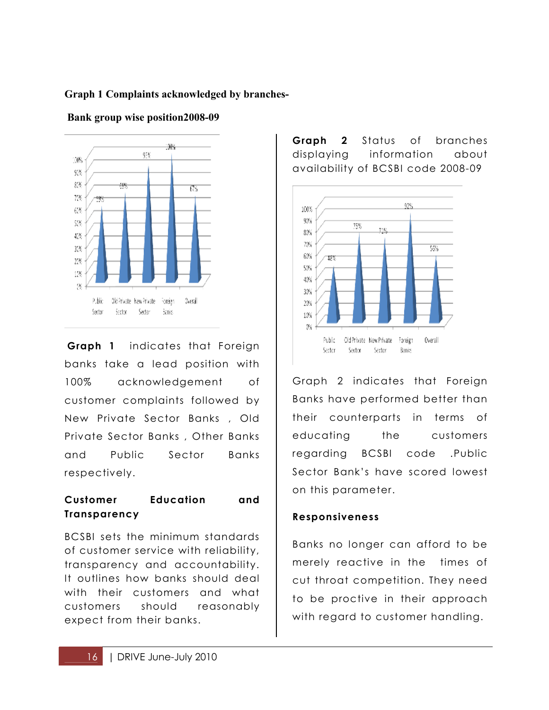#### **Graph 1 Complaints acknowledged by branches-**



 **Bank group wise position2008-09**

**Graph 1** indicates that Foreign banks take a lead position with 100% acknowledgement of customer complaints followed by New Private Sector Banks , Old Private Sector Banks , Other Banks and Public Sector Banks respectively.

#### **Customer Education and Transparency**

BCSBI sets the minimum standards of customer service with reliability, transparency and accountability. It outlines how banks should deal with their customers and what customers should reasonably expect from their banks.

**Graph 2** Status of branches displaying information about availability of BCSBI code 2008-09



Graph 2 indicates that Foreign Banks have performed better than their counterparts in terms of educating the customers regarding BCSBI code .Public Sector Bank's have scored lowest on this parameter.

#### **Responsiveness**

Banks no longer can afford to be merely reactive in the times of cut throat competition. They need to be proctive in their approach with regard to customer handling.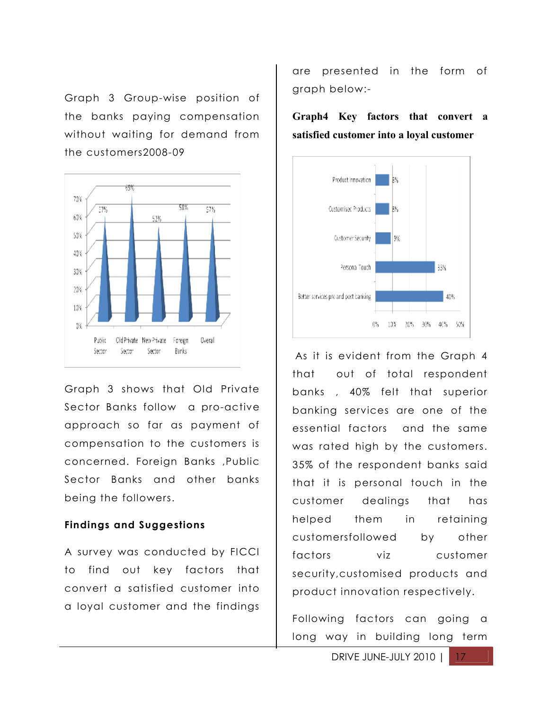Graph 3 Group-wise position of the banks paying compensation without waiting for demand from the customers2008-09



Graph 3 shows that Old Private Sector Banks follow a pro-active approach so far as payment of compensation to the customers is concerned. Foreign Banks ,Public Sector Banks and other banks being the followers.

#### **Findings and Suggestions**

A survey was conducted by FICCI to find out key factors that convert a satisfied customer into a loyal customer and the findings

are presented in the form of graph below:-

**Graph4 Key factors that convert a satisfied customer into a loyal customer** 



As it is evident from the Graph 4 that out of total respondent banks , 40% felt that superior banking services are one of the essential factors and the same was rated high by the customers. 35% of the respondent banks said that it is personal touch in the customer dealings that has helped them in retaining customersfollowed by other factors viz customer security,customised products and product innovation respectively.

Following factors can going a long way in building long term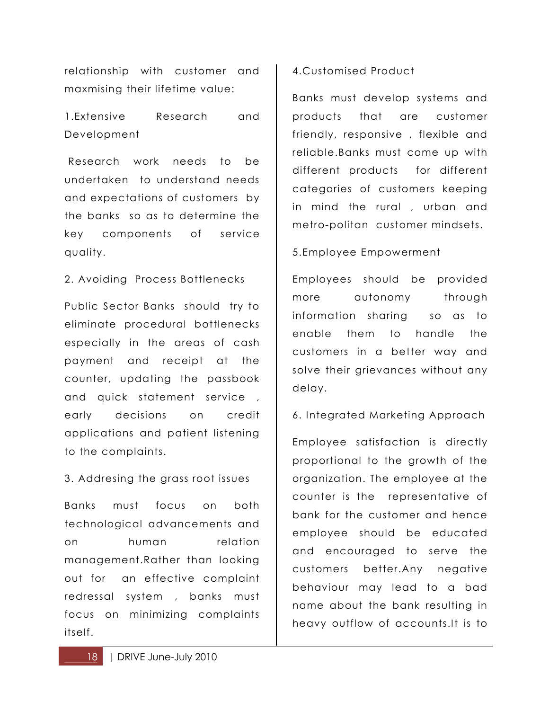relationship with customer and maxmising their lifetime value:

1.Extensive Research and Development

 Research work needs to be undertaken to understand needs and expectations of customers by the banks so as to determine the key components of service quality.

#### 2. Avoiding Process Bottlenecks

Public Sector Banks should try to eliminate procedural bottlenecks especially in the areas of cash payment and receipt at the counter, updating the passbook and quick statement service , early decisions on credit applications and patient listening to the complaints.

#### 3. Addresing the grass root issues

Banks must focus on both technological advancements and on human relation management.Rather than looking out for an effective complaint redressal system , banks must focus on minimizing complaints itself.

#### 4.Customised Product

Banks must develop systems and products that are customer friendly, responsive , flexible and reliable.Banks must come up with different products for different categories of customers keeping in mind the rural , urban and metro-politan customer mindsets.

#### 5.Employee Empowerment

Employees should be provided more autonomy through information sharing so as to enable them to handle the customers in a better way and solve their grievances without any delay.

6. Integrated Marketing Approach

Employee satisfaction is directly proportional to the growth of the organization. The employee at the counter is the representative of bank for the customer and hence employee should be educated and encouraged to serve the customers better.Any negative behaviour may lead to a bad name about the bank resulting in heavy outflow of accounts.It is to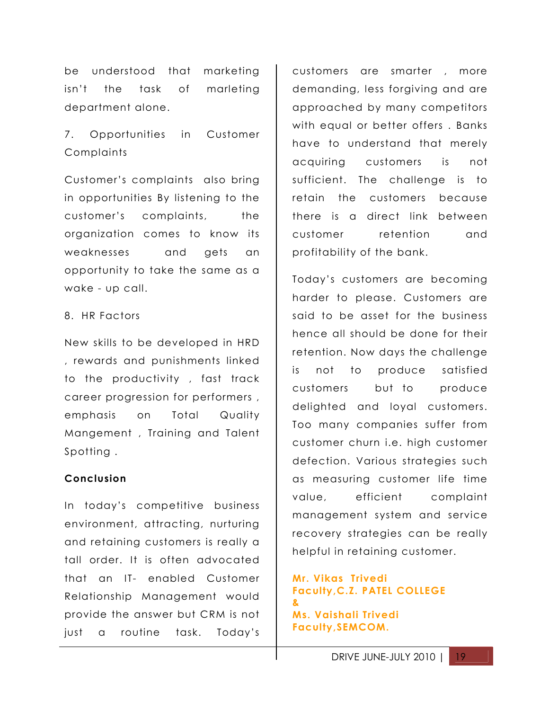be understood that marketing isn't the task of marleting department alone.

7. Opportunities in Customer **Complaints** 

Customer's complaints also bring in opportunities By listening to the customer's complaints, the organization comes to know its weaknesses and gets an opportunity to take the same as a wake - up call.

#### 8. HR Factors

New skills to be developed in HRD , rewards and punishments linked to the productivity , fast track career progression for performers , emphasis on Total Quality Mangement , Training and Talent Spotting .

#### **Conclusion**

In today's competitive business environment, attracting, nurturing and retaining customers is really a tall order. It is often advocated that an IT- enabled Customer Relationship Management would provide the answer but CRM is not just a routine task. Today's

customers are smarter , more demanding, less forgiving and are approached by many competitors with equal or better offers . Banks have to understand that merely acquiring customers is not sufficient. The challenge is to retain the customers because there is a direct link between customer retention and profitability of the bank.

Today's customers are becoming harder to please. Customers are said to be asset for the business hence all should be done for their retention. Now days the challenge is not to produce satisfied customers but to produce delighted and loyal customers. Too many companies suffer from customer churn i.e. high customer defection. Various strategies such as measuring customer life time value, efficient complaint management system and service recovery strategies can be really helpful in retaining customer.

#### **Mr. Vikas Trivedi Faculty,C.Z. PATEL COLLEGE & Ms. Vaishali Trivedi Faculty,SEMCOM.**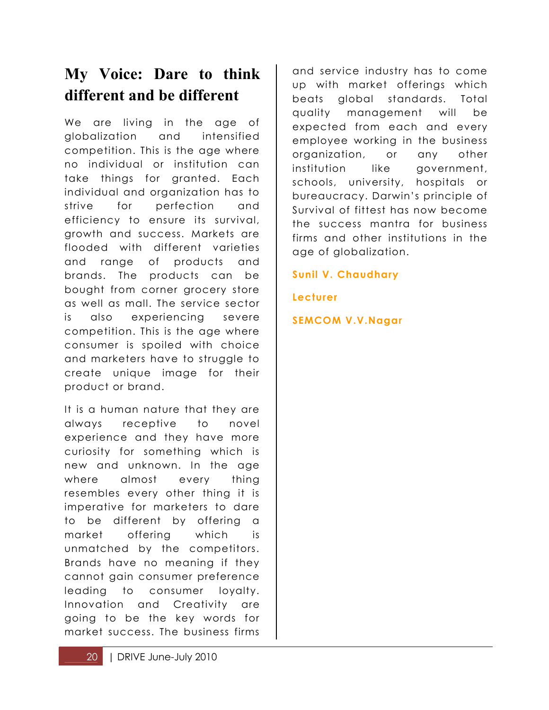# **My Voice: Dare to think different and be different**

We are living in the age of globalization and intensified competition. This is the age where no individual or institution can take things for granted. Each individual and organization has to strive for perfection and efficiency to ensure its survival, growth and success. Markets are flooded with different varieties and range of products and brands. The products can be bought from corner grocery store as well as mall. The service sector is also experiencing severe competition. This is the age where consumer is spoiled with choice and marketers have to struggle to create unique image for their product or brand.

It is a human nature that they are always receptive to novel experience and they have more curiosity for something which is new and unknown. In the age where almost every thing resembles every other thing it is imperative for marketers to dare to be different by offering a market offering which is unmatched by the competitors. Brands have no meaning if they cannot gain consumer preference leading to consumer loyalty. Innovation and Creativity are going to be the key words for market success. The business firms

and service industry has to come up with market offerings which beats global standards. Total quality management will be expected from each and every employee working in the business organization, or any other institution like government, schools, university, hospitals or bureaucracy. Darwin's principle of Survival of fittest has now become the success mantra for business firms and other institutions in the age of globalization.

**Sunil V. Chaudhary**

**Lecturer** 

**SEMCOM V.V.Nagar**